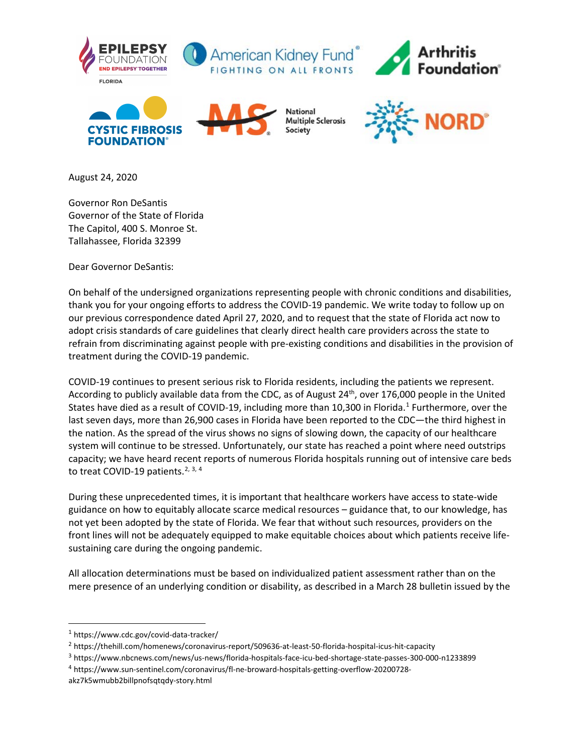

August 24, 2020

Governor Ron DeSantis Governor of the State of Florida The Capitol, 400 S. Monroe St. Tallahassee, Florida 32399

Dear Governor DeSantis:

On behalf of the undersigned organizations representing people with chronic conditions and disabilities, thank you for your ongoing efforts to address the COVID-19 pandemic. We write today to follow up on our previous correspondence dated April 27, 2020, and to request that the state of Florida act now to adopt crisis standards of care guidelines that clearly direct health care providers across the state to refrain from discriminating against people with pre-existing conditions and disabilities in the provision of treatment during the COVID-19 pandemic.

COVID-19 continues to present serious risk to Florida residents, including the patients we represent. According to publicly available data from the CDC, as of August 24<sup>th</sup>, over 176,000 people in the United States have died as a result of COVID-[1](#page-0-0)9, including more than 10,300 in Florida.<sup>1</sup> Furthermore, over the last seven days, more than 26,900 cases in Florida have been reported to the CDC—the third highest in the nation. As the spread of the virus shows no signs of slowing down, the capacity of our healthcare system will continue to be stressed. Unfortunately, our state has reached a point where need outstrips capacity; we have heard recent reports of numerous Florida hospitals running out of intensive care beds to treat COVID-19 patients.<sup>[2,](#page-0-1) [3,](#page-0-2) [4](#page-0-3)</sup>

During these unprecedented times, it is important that healthcare workers have access to state-wide guidance on how to equitably allocate scarce medical resources – guidance that, to our knowledge, has not yet been adopted by the state of Florida. We fear that without such resources, providers on the front lines will not be adequately equipped to make equitable choices about which patients receive lifesustaining care during the ongoing pandemic.

All allocation determinations must be based on individualized patient assessment rather than on the mere presence of an underlying condition or disability, as described in a March 28 bulletin issued by the

<span id="page-0-0"></span><sup>1</sup> https://www.cdc.gov/covid-data-tracker/

<span id="page-0-1"></span><sup>2</sup> https://thehill.com/homenews/coronavirus-report/509636-at-least-50-florida-hospital-icus-hit-capacity

<span id="page-0-2"></span><sup>3</sup> https://www.nbcnews.com/news/us-news/florida-hospitals-face-icu-bed-shortage-state-passes-300-000-n1233899

<span id="page-0-3"></span><sup>4</sup> https://www.sun-sentinel.com/coronavirus/fl-ne-broward-hospitals-getting-overflow-20200728-

akz7k5wmubb2billpnofsqtqdy-story.html